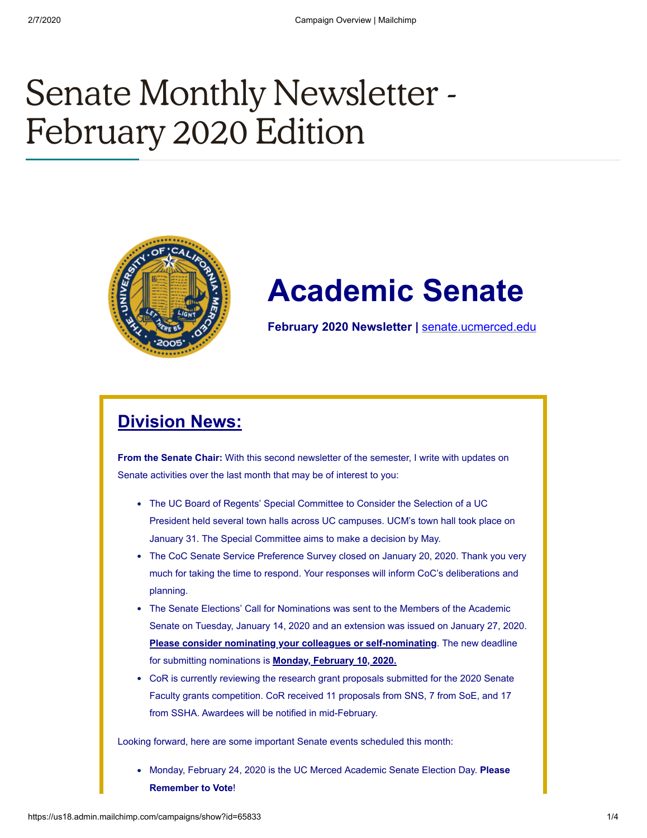# Senate Monthly Newsletter - February 2020 Edition



## **Academic Senate**

**February 2020 Newsletter |** [senate.ucmerced.edu](http://senate.ucmerced.edu/)

## **Division News:**

**From the Senate Chair:** With this second newsletter of the semester, I write with updates on Senate activities over the last month that may be of interest to you:

- The UC Board of Regents' Special Committee to Consider the Selection of a UC President held several town halls across UC campuses. UCM's town hall took place on January 31. The Special Committee aims to make a decision by May.
- The CoC Senate Service Preference Survey closed on January 20, 2020. Thank you very much for taking the time to respond. Your responses will inform CoC's deliberations and planning.
- The Senate Elections' Call for Nominations was sent to the Members of the Academic Senate on Tuesday, January 14, 2020 and an extension was issued on January 27, 2020. **Please consider nominating your colleagues or self-nominating**. The new deadline for submitting nominations is **Monday, February 10, 2020.**
- CoR is currently reviewing the research grant proposals submitted for the 2020 Senate Faculty grants competition. CoR received 11 proposals from SNS, 7 from SoE, and 17 from SSHA. Awardees will be notified in mid-February.

Looking forward, here are some important Senate events scheduled this month:

**Monday, February 24, 2020 is the UC Merced Academic Senate Election Day. Please Remember to Vote**!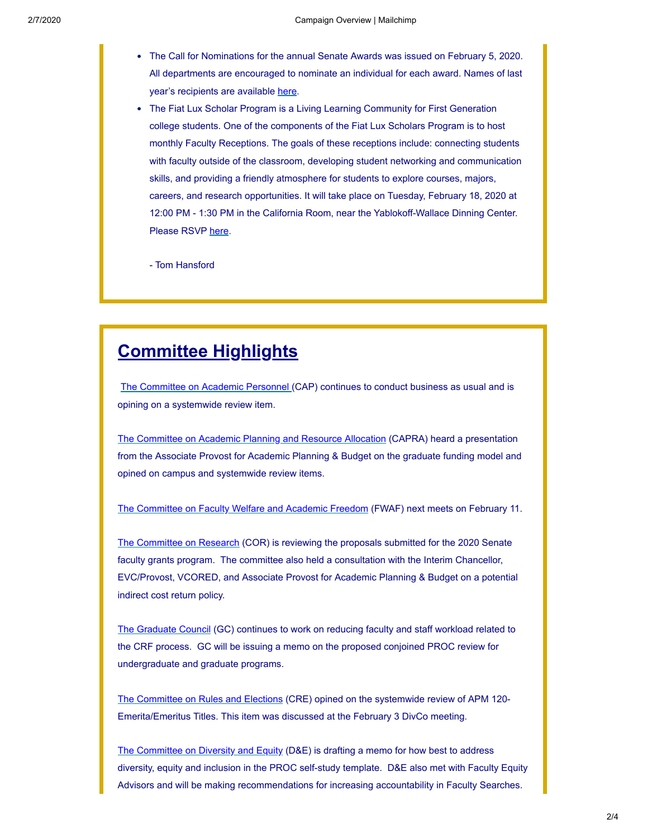- The Call for Nominations for the annual Senate Awards was issued on February 5, 2020. All departments are encouraged to nominate an individual for each award. Names of last year's recipients are available [here.](https://senate.ucmerced.edu/previous_senate_awardees)
- The Fiat Lux Scholar Program is a Living Learning Community for First Generation college students. One of the components of the Fiat Lux Scholars Program is to host monthly Faculty Receptions. The goals of these receptions include: connecting students with faculty outside of the classroom, developing student networking and communication skills, and providing a friendly atmosphere for students to explore courses, majors, careers, and research opportunities. It will take place on Tuesday, February 18, 2020 at 12:00 PM - 1:30 PM in the California Room, near the Yablokoff-Wallace Dinning Center. Please RSVP [here](https://fiatlux.ucmerced.edu/form/faculty-rsvp-february-18th-faculty-reception).

- Tom Hansford

### **Committee Highlights**

[The Committee on Academic Personnel](https://senate.ucmerced.edu/CAP) (CAP) continues to conduct business as usual and is opining on a systemwide review item.

[The Committee on Academic Planning and Resource Allocation](https://senate.ucmerced.edu/CAPRA) (CAPRA) heard a presentation from the Associate Provost for Academic Planning & Budget on the graduate funding model and opined on campus and systemwide review items.

[The Committee on Faculty Welfare and Academic Freedom](https://senate.ucmerced.edu/FWAF) (FWAF) next meets on February 11.

[The Committee on Research](https://senate.ucmerced.edu/COR) (COR) is reviewing the proposals submitted for the 2020 Senate faculty grants program. The committee also held a consultation with the Interim Chancellor, EVC/Provost, VCORED, and Associate Provost for Academic Planning & Budget on a potential indirect cost return policy.

[The Graduate Council](https://senate.ucmerced.edu/GC) (GC) continues to work on reducing faculty and staff workload related to the CRF process. GC will be issuing a memo on the proposed conjoined PROC review for undergraduate and graduate programs.

[The Committee on Rules and Elections](https://senate.ucmerced.edu/CRE) (CRE) opined on the systemwide review of APM 120- Emerita/Emeritus Titles. This item was discussed at the February 3 DivCo meeting.

[The Committee on Diversity and Equity](https://senate.ucmerced.edu/DE) (D&E) is drafting a memo for how best to address diversity, equity and inclusion in the PROC self-study template. D&E also met with Faculty Equity Advisors and will be making recommendations for increasing accountability in Faculty Searches.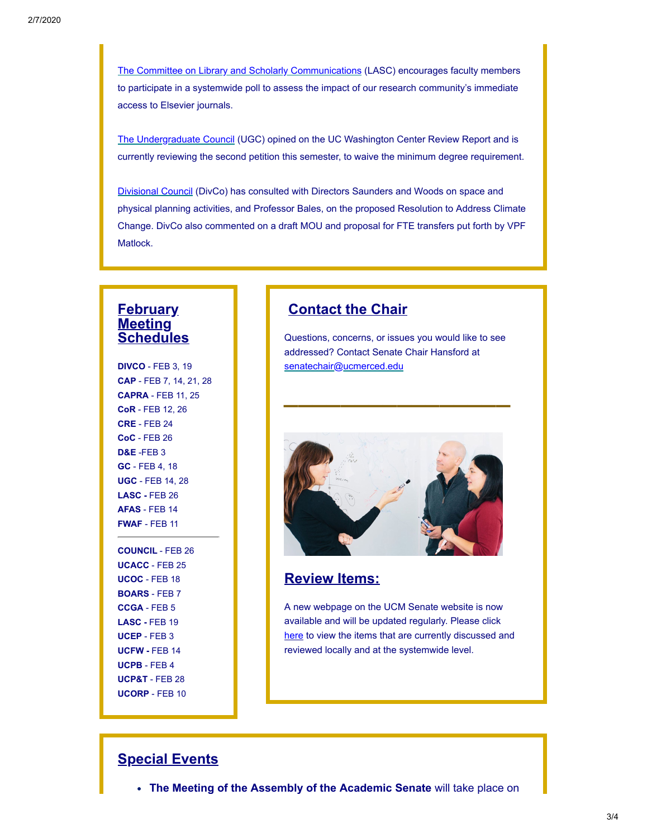[The Committee on Library and Scholarly Communications](https://senate.ucmerced.edu/LASC) (LASC) encourages faculty members to participate in a systemwide poll to assess the impact of our research community's immediate access to Elsevier journals.

[The Undergraduate Council](https://senate.ucmerced.edu/UGC) (UGC) opined on the UC Washington Center Review Report and is currently reviewing the second petition this semester, to waive the minimum degree requirement.

[Divisional Council](https://senate.ucmerced.edu/DivCo) (DivCo) has consulted with Directors Saunders and Woods on space and physical planning activities, and Professor Bales, on the proposed Resolution to Address Climate Change. DivCo also commented on a draft MOU and proposal for FTE transfers put forth by VPF Matlock.

#### **February Meeting Schedules**

**DIVCO** - FEB 3, 19 **CAP** - FEB 7, 14, 21, 28 **CAPRA** - FEB 11, 25 **CoR** - FEB 12, 26 **CRE** - FEB 24 **CoC** - FEB 26 **D&E** -FEB 3 **GC** - FEB 4, 18 **UGC** - FEB 14, 28 **LASC -** FEB 26 **AFAS** - FEB 14 **FWAF** - FEB 11

**COUNCIL** - FEB 26 **UCACC** - FEB 25 **UCOC** - FEB 18 **BOARS** - FEB 7 **CCGA** - FEB 5 **LASC -** FEB 19 **UCEP** - FEB 3 **UCFW -** FEB 14 **UCPB** - FEB 4 **UCP&T** - FEB 28 **UCORP** - FEB 10

#### **Contact the Chair**

Questions, concerns, or issues you would like to see addressed? Contact Senate Chair Hansford at [senatechair@ucmerced.edu](http://senatechair@ucmerced.edu/)

**\_\_\_\_\_\_\_\_\_\_\_\_\_\_\_\_**



#### **Review Items:**

A new webpage on the UCM Senate website is now available and will be updated regularly. Please click [here](https://senate.ucmerced.edu/review-items) to view the items that are currently discussed and reviewed locally and at the systemwide level.

#### **Special Events**

**The Meeting of the Assembly of the Academic Senate** will take place on